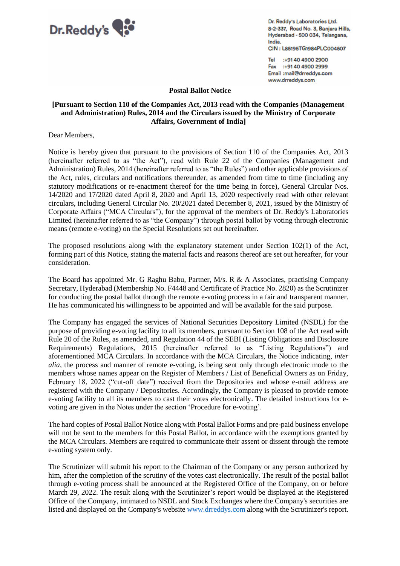

Dr. Reddy's Laboratories Ltd. 8-2-337, Road No. 3, Banjara Hills, Hyderabad - 500 034, Telangana, India. CIN: L85195TG1984PLC004507

Tel :+91 40 4900 2900 Fax :+9140 4900 2999 Email :mail@drreddys.com www.drreddys.com

**Postal Ballot Notice**

## **[Pursuant to Section 110 of the Companies Act, 2013 read with the Companies (Management and Administration) Rules, 2014 and the Circulars issued by the Ministry of Corporate Affairs, Government of India]**

Dear Members,

Notice is hereby given that pursuant to the provisions of Section 110 of the Companies Act, 2013 (hereinafter referred to as "the Act"), read with Rule 22 of the Companies (Management and Administration) Rules, 2014 (hereinafter referred to as "the Rules") and other applicable provisions of the Act, rules, circulars and notifications thereunder, as amended from time to time (including any statutory modifications or re-enactment thereof for the time being in force), General Circular Nos. 14/2020 and 17/2020 dated April 8, 2020 and April 13, 2020 respectively read with other relevant circulars, including General Circular No. 20/2021 dated December 8, 2021, issued by the Ministry of Corporate Affairs ("MCA Circulars"), for the approval of the members of Dr. Reddy's Laboratories Limited (hereinafter referred to as "the Company") through postal ballot by voting through electronic means (remote e-voting) on the Special Resolutions set out hereinafter.

The proposed resolutions along with the explanatory statement under Section 102(1) of the Act, forming part of this Notice, stating the material facts and reasons thereof are set out hereafter, for your consideration.

The Board has appointed Mr. G Raghu Babu, Partner, M/s. R & A Associates, practising Company Secretary, Hyderabad (Membership No. F4448 and Certificate of Practice No. 2820) as the Scrutinizer for conducting the postal ballot through the remote e-voting process in a fair and transparent manner. He has communicated his willingness to be appointed and will be available for the said purpose.

The Company has engaged the services of National Securities Depository Limited (NSDL) for the purpose of providing e-voting facility to all its members, pursuant to Section 108 of the Act read with Rule 20 of the Rules, as amended, and Regulation 44 of the SEBI (Listing Obligations and Disclosure Requirements) Regulations, 2015 (hereinafter referred to as "Listing Regulations") and aforementioned MCA Circulars. In accordance with the MCA Circulars, the Notice indicating, *inter alia*, the process and manner of remote e-voting, is being sent only through electronic mode to the members whose names appear on the Register of Members / List of Beneficial Owners as on Friday, February 18, 2022 ("cut-off date") received from the Depositories and whose e-mail address are registered with the Company / Depositories. Accordingly, the Company is pleased to provide remote e-voting facility to all its members to cast their votes electronically. The detailed instructions for evoting are given in the Notes under the section 'Procedure for e-voting'.

The hard copies of Postal Ballot Notice along with Postal Ballot Forms and pre-paid business envelope will not be sent to the members for this Postal Ballot, in accordance with the exemptions granted by the MCA Circulars. Members are required to communicate their assent or dissent through the remote e-voting system only.

The Scrutinizer will submit his report to the Chairman of the Company or any person authorized by him, after the completion of the scrutiny of the votes cast electronically. The result of the postal ballot through e-voting process shall be announced at the Registered Office of the Company, on or before March 29, 2022. The result along with the Scrutinizer's report would be displayed at the Registered Office of the Company, intimated to NSDL and Stock Exchanges where the Company's securities are listed and displayed on the Company's website [www.drreddys.com](http://www.drreddys.com/) along with the Scrutinizer's report.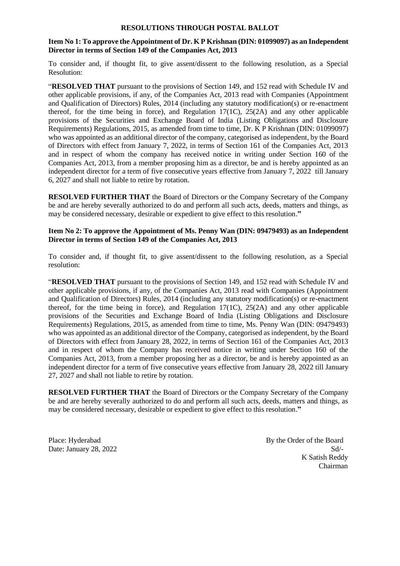#### **RESOLUTIONS THROUGH POSTAL BALLOT**

# **Item No 1: To approve the Appointment of Dr. K P Krishnan (DIN: 01099097) as an Independent Director in terms of Section 149 of the Companies Act, 2013**

To consider and, if thought fit, to give assent/dissent to the following resolution, as a Special Resolution:

"**RESOLVED THAT** pursuant to the provisions of Section 149, and 152 read with Schedule IV and other applicable provisions, if any, of the Companies Act, 2013 read with Companies (Appointment and Qualification of Directors) Rules, 2014 (including any statutory modification(s) or re-enactment thereof, for the time being in force), and Regulation  $17(1C)$ ,  $25(2A)$  and any other applicable provisions of the Securities and Exchange Board of India (Listing Obligations and Disclosure Requirements) Regulations, 2015, as amended from time to time, Dr. K P Krishnan (DIN: 01099097) who was appointed as an additional director of the company, categorised as independent, by the Board of Directors with effect from January 7, 2022, in terms of Section 161 of the Companies Act, 2013 and in respect of whom the company has received notice in writing under Section 160 of the Companies Act, 2013, from a member proposing him as a director, be and is hereby appointed as an independent director for a term of five consecutive years effective from January 7, 2022 till January 6, 2027 and shall not liable to retire by rotation.

**RESOLVED FURTHER THAT** the Board of Directors or the Company Secretary of the Company be and are hereby severally authorized to do and perform all such acts, deeds, matters and things, as may be considered necessary, desirable or expedient to give effect to this resolution.**"**

#### **Item No 2: To approve the Appointment of Ms. Penny Wan (DIN: 09479493) as an Independent Director in terms of Section 149 of the Companies Act, 2013**

To consider and, if thought fit, to give assent/dissent to the following resolution, as a Special resolution:

"**RESOLVED THAT** pursuant to the provisions of Section 149, and 152 read with Schedule IV and other applicable provisions, if any, of the Companies Act, 2013 read with Companies (Appointment and Qualification of Directors) Rules, 2014 (including any statutory modification(s) or re-enactment thereof, for the time being in force), and Regulation  $17(1C)$ ,  $25(2A)$  and any other applicable provisions of the Securities and Exchange Board of India (Listing Obligations and Disclosure Requirements) Regulations, 2015, as amended from time to time, Ms. Penny Wan (DIN: 09479493) who was appointed as an additional director of the Company, categorised as independent, by the Board of Directors with effect from January 28, 2022, in terms of Section 161 of the Companies Act, 2013 and in respect of whom the Company has received notice in writing under Section 160 of the Companies Act, 2013, from a member proposing her as a director, be and is hereby appointed as an independent director for a term of five consecutive years effective from January 28, 2022 till January 27, 2027 and shall not liable to retire by rotation.

**RESOLVED FURTHER THAT** the Board of Directors or the Company Secretary of the Company be and are hereby severally authorized to do and perform all such acts, deeds, matters and things, as may be considered necessary, desirable or expedient to give effect to this resolution.**"**

Place: Hyderabad By the Order of the Board Date: January 28, 2022 Sd/- K Satish Reddy Chairman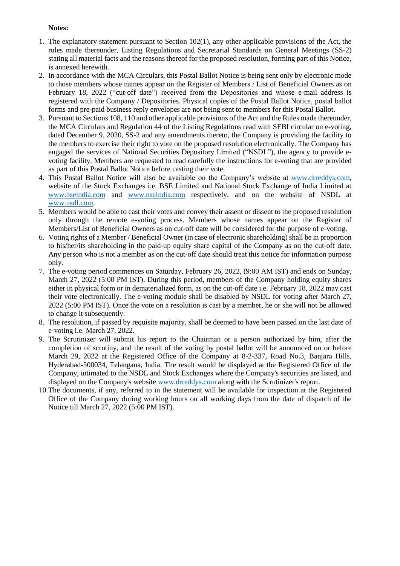#### **Notes:**

- 1. The explanatory statement pursuant to Section 102(1), any other applicable provisions of the Act, the rules made thereunder, Listing Regulations and Secretarial Standards on General Meetings (SS-2) stating all material facts and the reasons thereof for the proposed resolution, forming part of this Notice, is annexed herewith.
- 2. In accordance with the MCA Circulars, this Postal Ballot Notice is being sent only by electronic mode to those members whose names appear on the Register of Members / List of Beneficial Owners as on February 18, 2022 ("cut-off date") received from the Depositories and whose e-mail address is registered with the Company / Depositories. Physical copies of the Postal Ballot Notice, postal ballot forms and pre-paid business reply envelopes are not being sent to members for this Postal Ballot.
- 3. Pursuant to Sections 108, 110 and other applicable provisions of the Act and the Rules made thereunder, the MCA Circulars and Regulation 44 of the Listing Regulations read with SEBI circular on e-voting, dated December 9, 2020, SS-2 and any amendments thereto, the Company is providing the facility to the members to exercise their right to vote on the proposed resolution electronically. The Company has engaged the services of National Securities Depository Limited ("NSDL"), the agency to provide evoting facility. Members are requested to read carefully the instructions for e-voting that are provided as part of this Postal Ballot Notice before casting their vote.
- 4. This Postal Ballot Notice will also be available on the Company's website at [www.drreddys.com,](http://www.drreddys.com/) website of the Stock Exchanges i.e. BSE Limited and National Stock Exchange of India Limited at [www.bseindia.com](http://www.bseindia.com/) and [www.nseindia.com](http://www.nseindia.com/) respectively, and on the website of NSDL at [www.nsdl.com.](http://www.nsdl.com/)
- 5. Members would be able to cast their votes and convey their assent or dissent to the proposed resolution only through the remote e-voting process. Members whose names appear on the Register of Members/List of Beneficial Owners as on cut-off date will be considered for the purpose of e-voting.
- 6. Voting rights of a Member / Beneficial Owner (in case of electronic shareholding) shall be in proportion to his/her/its shareholding in the paid-up equity share capital of the Company as on the cut-off date. Any person who is not a member as on the cut-off date should treat this notice for information purpose only.
- 7. The e-voting period commences on Saturday, February 26, 2022, (9:00 AM IST) and ends on Sunday, March 27, 2022 (5:00 PM IST). During this period, members of the Company holding equity shares either in physical form or in dematerialized form, as on the cut-off date i.e. February 18, 2022 may cast their vote electronically. The e-voting module shall be disabled by NSDL for voting after March 27, 2022 (5:00 PM IST). Once the vote on a resolution is cast by a member, he or she will not be allowed to change it subsequently.
- 8. The resolution, if passed by requisite majority, shall be deemed to have been passed on the last date of e-voting i.e. March 27, 2022.
- 9. The Scrutinizer will submit his report to the Chairman or a person authorized by him, after the completion of scrutiny, and the result of the voting by postal ballot will be announced on or before March 29, 2022 at the Registered Office of the Company at 8-2-337, Road No.3, Banjara Hills, Hyderabad-500034, Telangana, India. The result would be displayed at the Registered Office of the Company, intimated to the NSDL and Stock Exchanges where the Company's securities are listed, and displayed on the Company's website [www.drreddys.com](http://www.drreddys.com/) along with the Scrutinizer's report.
- 10.The documents, if any, referred to in the statement will be available for inspection at the Registered Office of the Company during working hours on all working days from the date of dispatch of the Notice till March 27, 2022 (5:00 PM IST).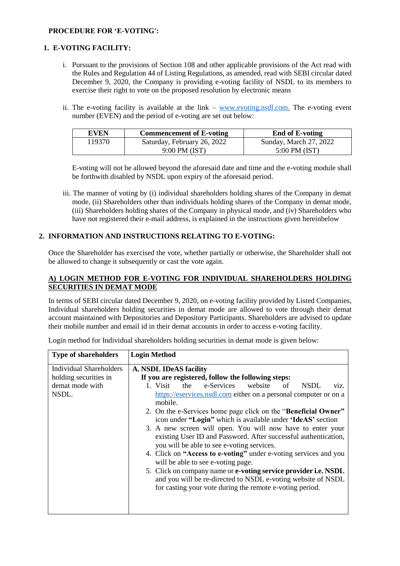# **PROCEDURE FOR 'E-VOTING':**

# **1. E-VOTING FACILITY:**

- i. Pursuant to the provisions of Section 108 and other applicable provisions of the Act read with the Rules and Regulation 44 of Listing Regulations, as amended, read with SEBI circular dated December 9, 2020, the Company is providing e-voting facility of NSDL to its members to exercise their right to vote on the proposed resolution by electronic means
- ii. The e-voting facility is available at the link [www.evoting.nsdl.com.](http://www.evoting.nsdl.com/) The e-voting event number (EVEN) and the period of e-voting are set out below:

| <b>EVEN</b> | <b>Commencement of E-voting</b> | <b>End of E-voting</b> |
|-------------|---------------------------------|------------------------|
| 119370.     | Saturday, February 26, 2022     | Sunday, March 27, 2022 |
|             | 9:00 PM (IST)                   | $5:00$ PM (IST)        |

E-voting will not be allowed beyond the aforesaid date and time and the e-voting module shall be forthwith disabled by NSDL upon expiry of the aforesaid period.

iii. The manner of voting by (i) individual shareholders holding shares of the Company in demat mode, (ii) Shareholders other than individuals holding shares of the Company in demat mode, (iii) Shareholders holding shares of the Company in physical mode, and (iv) Shareholders who have not registered their e-mail address, is explained in the instructions given hereinbelow

# **2. INFORMATION AND INSTRUCTIONS RELATING TO E-VOTING:**

Once the Shareholder has exercised the vote, whether partially or otherwise, the Shareholder shall not be allowed to change it subsequently or cast the vote again.

## **A) LOGIN METHOD FOR E-VOTING FOR INDIVIDUAL SHAREHOLDERS HOLDING SECURITIES IN DEMAT MODE**

In terms of SEBI circular dated December 9, 2020, on e-voting facility provided by Listed Companies, Individual shareholders holding securities in demat mode are allowed to vote through their demat account maintained with Depositories and Depository Participants. Shareholders are advised to update their mobile number and email id in their demat accounts in order to access e-voting facility.

| <b>Type of shareholders</b> | <b>Login Method</b>                                                                                                                                                                         |  |
|-----------------------------|---------------------------------------------------------------------------------------------------------------------------------------------------------------------------------------------|--|
| Individual Shareholders     | <b>A. NSDL IDeAS facility</b>                                                                                                                                                               |  |
| holding securities in       | If you are registered, follow the following steps:                                                                                                                                          |  |
| demat mode with             | 1. Visit<br>e-Services<br>website<br>the<br>of<br><b>NSDL</b><br>viz.                                                                                                                       |  |
| NSDL.                       | https://eservices.nsdl.com either on a personal computer or on a<br>mobile.                                                                                                                 |  |
|                             | 2. On the e-Services home page click on the "Beneficial Owner"<br>icon under "Login" which is available under 'IdeAS' section                                                               |  |
|                             | 3. A new screen will open. You will now have to enter your<br>existing User ID and Password. After successful authentication,<br>you will be able to see e-voting services.                 |  |
|                             | 4. Click on "Access to e-voting" under e-voting services and you<br>will be able to see e-voting page.                                                                                      |  |
|                             | 5. Click on company name or e-voting service provider i.e. NSDL<br>and you will be re-directed to NSDL e-voting website of NSDL<br>for casting your vote during the remote e-voting period. |  |
|                             |                                                                                                                                                                                             |  |

Login method for Individual shareholders holding securities in demat mode is given below: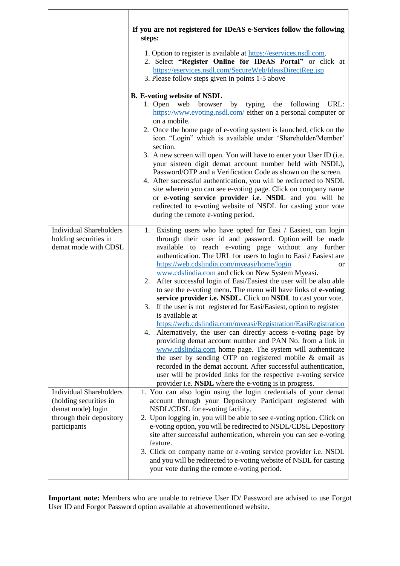|                                                                                                                           | If you are not registered for IDeAS e-Services follow the following<br>steps:<br>1. Option to register is available at https://eservices.nsdl.com.<br>2. Select "Register Online for IDeAS Portal" or click at<br>https://eservices.nsdl.com/SecureWeb/IdeasDirectReg.jsp                                                                                                                                                                                                                                                                                                                                                                                                                                                                                                                                                                                                                                                                                                                                                                                                                                                                                                                            |
|---------------------------------------------------------------------------------------------------------------------------|------------------------------------------------------------------------------------------------------------------------------------------------------------------------------------------------------------------------------------------------------------------------------------------------------------------------------------------------------------------------------------------------------------------------------------------------------------------------------------------------------------------------------------------------------------------------------------------------------------------------------------------------------------------------------------------------------------------------------------------------------------------------------------------------------------------------------------------------------------------------------------------------------------------------------------------------------------------------------------------------------------------------------------------------------------------------------------------------------------------------------------------------------------------------------------------------------|
|                                                                                                                           | 3. Please follow steps given in points 1-5 above<br><b>B.</b> E-voting website of NSDL<br>1. Open web<br>browser<br>by typing<br>the following<br>URL:<br>https://www.evoting.nsdl.com/ either on a personal computer or<br>on a mobile.<br>2. Once the home page of e-voting system is launched, click on the<br>icon "Login" which is available under 'Shareholder/Member'<br>section.<br>3. A new screen will open. You will have to enter your User ID (i.e.<br>your sixteen digit demat account number held with NSDL),<br>Password/OTP and a Verification Code as shown on the screen.<br>4. After successful authentication, you will be redirected to NSDL<br>site wherein you can see e-voting page. Click on company name<br>or e-voting service provider i.e. NSDL and you will be<br>redirected to e-voting website of NSDL for casting your vote<br>during the remote e-voting period.                                                                                                                                                                                                                                                                                                  |
| <b>Individual Shareholders</b><br>holding securities in<br>demat mode with CDSL                                           | 1. Existing users who have opted for Easi / Easiest, can login<br>through their user id and password. Option will be made<br>available to reach e-voting page without any further<br>authentication. The URL for users to login to Easi / Easiest are<br>https://web.cdslindia.com/myeasi/home/login<br>or<br>www.cdslindia.com and click on New System Myeasi.<br>After successful login of Easi/Easiest the user will be also able<br>2.<br>to see the e-voting menu. The menu will have links of e-voting<br>service provider i.e. NSDL. Click on NSDL to cast your vote.<br>3. If the user is not registered for Easi/Easiest, option to register<br>is available at<br>https://web.cdslindia.com/myeasi/Registration/EasiRegistration<br>4. Alternatively, the user can directly access e-voting page by<br>providing demat account number and PAN No. from a link in<br>www.cdslindia.com home page. The system will authenticate<br>the user by sending OTP on registered mobile $\&$ email as<br>recorded in the demat account. After successful authentication,<br>user will be provided links for the respective e-voting service<br>provider i.e. NSDL where the e-voting is in progress. |
| <b>Individual Shareholders</b><br>(holding securities in<br>demat mode) login<br>through their depository<br>participants | 1. You can also login using the login credentials of your demat<br>account through your Depository Participant registered with<br>NSDL/CDSL for e-voting facility.<br>2. Upon logging in, you will be able to see e-voting option. Click on<br>e-voting option, you will be redirected to NSDL/CDSL Depository<br>site after successful authentication, wherein you can see e-voting<br>feature.<br>3. Click on company name or e-voting service provider i.e. NSDL<br>and you will be redirected to e-voting website of NSDL for casting<br>your vote during the remote e-voting period.                                                                                                                                                                                                                                                                                                                                                                                                                                                                                                                                                                                                            |

**Important note:** Members who are unable to retrieve User ID/ Password are advised to use Forgot User ID and Forgot Password option available at abovementioned website.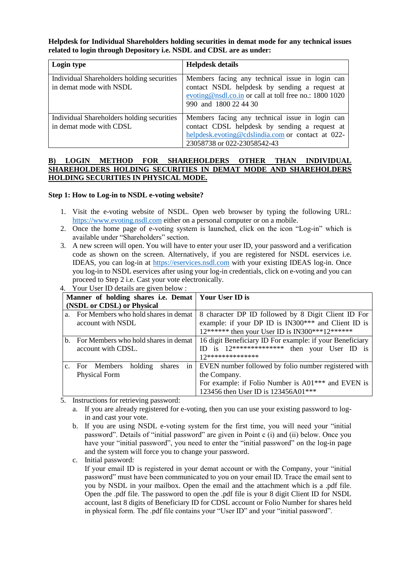**Helpdesk for Individual Shareholders holding securities in demat mode for any technical issues related to login through Depository i.e. NSDL and CDSL are as under:**

| Login type                                                            | <b>Helpdesk details</b>                                                                                                                                                              |
|-----------------------------------------------------------------------|--------------------------------------------------------------------------------------------------------------------------------------------------------------------------------------|
| Individual Shareholders holding securities<br>in demat mode with NSDL | Members facing any technical issue in login can<br>contact NSDL helpdesk by sending a request at<br>evoting@nsdl.co.in or call at toll free no.: 1800 1020<br>990 and 1800 22 44 30  |
| Individual Shareholders holding securities<br>in demat mode with CDSL | Members facing any technical issue in login can<br>contact CDSL helpdesk by sending a request at<br>helpdesk.evoting@cdslindia.com or contact at 022-<br>23058738 or 022-23058542-43 |

## **B) LOGIN METHOD FOR SHAREHOLDERS OTHER THAN INDIVIDUAL SHAREHOLDERS HOLDING SECURITIES IN DEMAT MODE AND SHAREHOLDERS HOLDING SECURITIES IN PHYSICAL MODE.**

#### **Step 1: How to Log-in to NSDL e-voting website?**

- 1. Visit the e-voting website of NSDL. Open web browser by typing the following URL: [https://www.evoting.nsdl.com](https://www.evoting.nsdl.com/) either on a personal computer or on a mobile.
- 2. Once the home page of e-voting system is launched, click on the icon "Log-in" which is available under "Shareholders" section.
- 3. A new screen will open. You will have to enter your user ID, your password and a verification code as shown on the screen. Alternatively, if you are registered for NSDL eservices i.e. IDEAS, you can log-in at [https://eservices.nsdl.com](https://eservices.nsdl.com/) with your existing IDEAS log-in. Once you log-in to NSDL eservices after using your log-in credentials, click on e-voting and you can proceed to Step 2 i.e. Cast your vote electronically.

| Manner of holding shares i.e. Demat   Your User ID is |                                         |                                                                |
|-------------------------------------------------------|-----------------------------------------|----------------------------------------------------------------|
| (NSDL or CDSL) or Physical                            |                                         |                                                                |
|                                                       | a. For Members who hold shares in demat | 8 character DP ID followed by 8 Digit Client ID For            |
|                                                       | account with NSDL                       | example: if your DP ID is IN300*** and Client ID is            |
|                                                       |                                         | $12******$ then your User ID is IN300***12******               |
| $\mathbf{b}$ .                                        | For Members who hold shares in demat    | 16 digit Beneficiary ID For example: if your Beneficiary       |
|                                                       | account with CDSL.                      | ID is $12**********************$<br>then your User ID is       |
|                                                       |                                         | 17**************                                               |
|                                                       | For Members<br>holding<br>shares<br>in  | EVEN number followed by folio number registered with           |
|                                                       | <b>Physical Form</b>                    | the Company.                                                   |
|                                                       |                                         | For example: if Folio Number is A01 <sup>***</sup> and EVEN is |
|                                                       |                                         | 123456 then User ID is 123456A01***                            |

4. Your User ID details are given below :

- 5. Instructions for retrieving password:
	- a. If you are already registered for e-voting, then you can use your existing password to login and cast your vote.
	- b. If you are using NSDL e-voting system for the first time, you will need your "initial password". Details of "initial password" are given in Point c (i) and (ii) below. Once you have your "initial password", you need to enter the "initial password" on the log-in page and the system will force you to change your password.
	- c. Initial password:

If your email ID is registered in your demat account or with the Company, your "initial password" must have been communicated to you on your email ID. Trace the email sent to you by NSDL in your mailbox. Open the email and the attachment which is a .pdf file. Open the .pdf file. The password to open the .pdf file is your 8 digit Client ID for NSDL account, last 8 digits of Beneficiary ID for CDSL account or Folio Number for shares held in physical form. The .pdf file contains your "User ID" and your "initial password".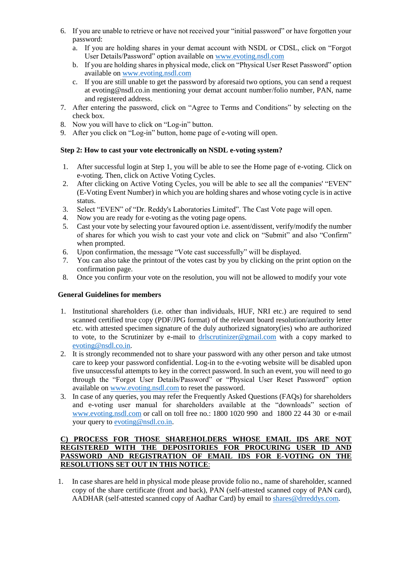- 6. If you are unable to retrieve or have not received your "initial password" or have forgotten your password:
	- a. If you are holding shares in your demat account with NSDL or CDSL, click on "Forgot User Details/Password" option available on [www.evoting.nsdl.com](http://www.evoting.nsdl.com/)
	- b. If you are holding shares in physical mode, click on "Physical User Reset Password" option available on [www.evoting.nsdl.com](http://www.evoting.nsdl.com/)
	- c. If you are still unable to get the password by aforesaid two options, you can send a request at evoting@nsdl.co.in mentioning your demat account number/folio number, PAN, name and registered address.
- 7. After entering the password, click on "Agree to Terms and Conditions" by selecting on the check box.
- 8. Now you will have to click on "Log-in" button.
- 9. After you click on "Log-in" button, home page of e-voting will open.

# **Step 2: How to cast your vote electronically on NSDL e-voting system?**

- 1. After successful login at Step 1, you will be able to see the Home page of e-voting. Click on e-voting. Then, click on Active Voting Cycles.
- 2. After clicking on Active Voting Cycles, you will be able to see all the companies' "EVEN" (E-Voting Event Number) in which you are holding shares and whose voting cycle is in active status.
- 3. Select "EVEN" of "Dr. Reddy's Laboratories Limited". The Cast Vote page will open.
- 4. Now you are ready for e-voting as the voting page opens.
- 5. Cast your vote by selecting your favoured option i.e. assent/dissent, verify/modify the number of shares for which you wish to cast your vote and click on "Submit" and also "Confirm" when prompted.
- 6. Upon confirmation, the message "Vote cast successfully" will be displayed.
- 7. You can also take the printout of the votes cast by you by clicking on the print option on the confirmation page.
- 8. Once you confirm your vote on the resolution, you will not be allowed to modify your vote

# **General Guidelines for members**

- 1. Institutional shareholders (i.e. other than individuals, HUF, NRI etc.) are required to send scanned certified true copy (PDF/JPG format) of the relevant board resolution/authority letter etc. with attested specimen signature of the duly authorized signatory(ies) who are authorized to vote, to the Scrutinizer by e-mail to [drlscrutinizer@gmail.com](mailto:drlscrutinizer@gmail.com) with a copy marked to [evoting@nsdl.co.in.](mailto:evoting@nsdl.co.in)
- 2. It is strongly recommended not to share your password with any other person and take utmost care to keep your password confidential. Log-in to the e-voting website will be disabled upon five unsuccessful attempts to key in the correct password. In such an event, you will need to go through the "Forgot User Details/Password" or "Physical User Reset Password" option available on [www.evoting.nsdl.com](http://www.evoting.nsdl.com/) to reset the password.
- 3. In case of any queries, you may refer the Frequently Asked Questions (FAQs) for shareholders and e-voting user manual for shareholders available at the "downloads" section of [www.evoting.nsdl.com](http://www.evoting.nsdl.com/) or call on toll free no.: 1800 1020 990 and 1800 22 44 30 or e-mail your query to [evoting@nsdl.co.in.](mailto:evoting@nsdl.co.in)

# **C) PROCESS FOR THOSE SHAREHOLDERS WHOSE EMAIL IDS ARE NOT REGISTERED WITH THE DEPOSITORIES FOR PROCURING USER ID AND PASSWORD AND REGISTRATION OF EMAIL IDS FOR E-VOTING ON THE RESOLUTIONS SET OUT IN THIS NOTICE**:

1. In case shares are held in physical mode please provide folio no., name of shareholder, scanned copy of the share certificate (front and back), PAN (self-attested scanned copy of PAN card), AADHAR (self-attested scanned copy of Aadhar Card) by email to [shares@drreddys.com.](mailto:shares@drreddys.com)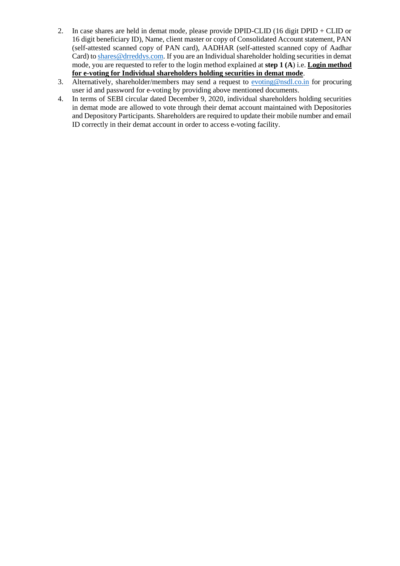- 2. In case shares are held in demat mode, please provide DPID-CLID (16 digit DPID + CLID or 16 digit beneficiary ID), Name, client master or copy of Consolidated Account statement, PAN (self-attested scanned copy of PAN card), AADHAR (self-attested scanned copy of Aadhar Card) to [shares@drreddys.com.](mailto:shares@drreddys.com) If you are an Individual shareholder holding securities in demat mode, you are requested to refer to the login method explained at **step 1 (A**) i.e. **Login method for e-voting for Individual shareholders holding securities in demat mode**.
- 3. Alternatively, shareholder/members may send a request to  $\frac{\text{evoting@nsdl.co.in}}{\text{evoting@nsdl.co.in}}$  for procuring user id and password for e-voting by providing above mentioned documents.
- 4. In terms of SEBI circular dated December 9, 2020, individual shareholders holding securities in demat mode are allowed to vote through their demat account maintained with Depositories and Depository Participants. Shareholders are required to update their mobile number and email ID correctly in their demat account in order to access e-voting facility.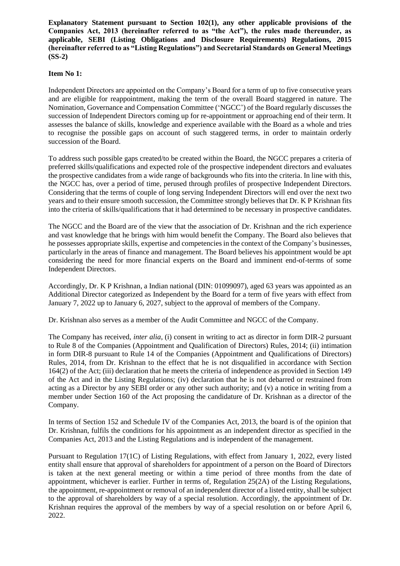**Explanatory Statement pursuant to Section 102(1), any other applicable provisions of the Companies Act, 2013 (hereinafter referred to as "the Act"), the rules made thereunder, as applicable, SEBI (Listing Obligations and Disclosure Requirements) Regulations, 2015 (hereinafter referred to as "Listing Regulations") and Secretarial Standards on General Meetings (SS-2)**

#### **Item No 1:**

Independent Directors are appointed on the Company's Board for a term of up to five consecutive years and are eligible for reappointment, making the term of the overall Board staggered in nature. The Nomination, Governance and Compensation Committee ('NGCC') of the Board regularly discusses the succession of Independent Directors coming up for re-appointment or approaching end of their term. It assesses the balance of skills, knowledge and experience available with the Board as a whole and tries to recognise the possible gaps on account of such staggered terms, in order to maintain orderly succession of the Board.

To address such possible gaps created/to be created within the Board, the NGCC prepares a criteria of preferred skills/qualifications and expected role of the prospective independent directors and evaluates the prospective candidates from a wide range of backgrounds who fits into the criteria. In line with this, the NGCC has, over a period of time, perused through profiles of prospective Independent Directors. Considering that the terms of couple of long serving Independent Directors will end over the next two years and to their ensure smooth succession, the Committee strongly believes that Dr. K P Krishnan fits into the criteria of skills/qualifications that it had determined to be necessary in prospective candidates.

The NGCC and the Board are of the view that the association of Dr. Krishnan and the rich experience and vast knowledge that he brings with him would benefit the Company. The Board also believes that he possesses appropriate skills, expertise and competencies in the context of the Company's businesses, particularly in the areas of finance and management. The Board believes his appointment would be apt considering the need for more financial experts on the Board and imminent end-of-terms of some Independent Directors.

Accordingly, Dr. K P Krishnan, a Indian national (DIN: 01099097), aged 63 years was appointed as an Additional Director categorized as Independent by the Board for a term of five years with effect from January 7, 2022 up to January 6, 2027, subject to the approval of members of the Company.

Dr. Krishnan also serves as a member of the Audit Committee and NGCC of the Company.

The Company has received, *inter alia*, (i) consent in writing to act as director in form DIR-2 pursuant to Rule 8 of the Companies (Appointment and Qualification of Directors) Rules, 2014; (ii) intimation in form DIR-8 pursuant to Rule 14 of the Companies (Appointment and Qualifications of Directors) Rules, 2014, from Dr. Krishnan to the effect that he is not disqualified in accordance with Section 164(2) of the Act; (iii) declaration that he meets the criteria of independence as provided in Section 149 of the Act and in the Listing Regulations; (iv) declaration that he is not debarred or restrained from acting as a Director by any SEBI order or any other such authority; and (v) a notice in writing from a member under Section 160 of the Act proposing the candidature of Dr. Krishnan as a director of the Company.

In terms of Section 152 and Schedule IV of the Companies Act, 2013, the board is of the opinion that Dr. Krishnan, fulfils the conditions for his appointment as an independent director as specified in the Companies Act, 2013 and the Listing Regulations and is independent of the management.

Pursuant to Regulation 17(1C) of Listing Regulations, with effect from January 1, 2022, every listed entity shall ensure that approval of shareholders for appointment of a person on the Board of Directors is taken at the next general meeting or within a time period of three months from the date of appointment, whichever is earlier. Further in terms of, Regulation 25(2A) of the Listing Regulations, the appointment, re-appointment or removal of an independent director of a listed entity, shall be subject to the approval of shareholders by way of a special resolution. Accordingly, the appointment of Dr. Krishnan requires the approval of the members by way of a special resolution on or before April 6, 2022.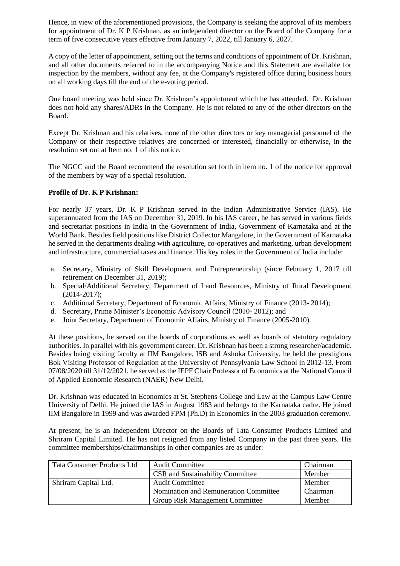Hence, in view of the aforementioned provisions, the Company is seeking the approval of its members for appointment of Dr. K P Krishnan, as an independent director on the Board of the Company for a term of five consecutive years effective from January 7, 2022, till January 6, 2027.

A copy of the letter of appointment, setting out the terms and conditions of appointment of Dr. Krishnan, and all other documents referred to in the accompanying Notice and this Statement are available for inspection by the members, without any fee, at the Company's registered office during business hours on all working days till the end of the e-voting period.

One board meeting was held since Dr. Krishnan's appointment which he has attended. Dr. Krishnan does not hold any shares/ADRs in the Company. He is not related to any of the other directors on the Board.

Except Dr. Krishnan and his relatives, none of the other directors or key managerial personnel of the Company or their respective relatives are concerned or interested, financially or otherwise, in the resolution set out at Item no. 1 of this notice.

The NGCC and the Board recommend the resolution set forth in item no. 1 of the notice for approval of the members by way of a special resolution.

## **Profile of Dr. K P Krishnan:**

For nearly 37 years, Dr. K P Krishnan served in the Indian Administrative Service (IAS). He superannuated from the IAS on December 31, 2019. In his IAS career, he has served in various fields and secretariat positions in India in the Government of India, Government of Karnataka and at the World Bank. Besides field positions like District Collector Mangalore, in the Government of Karnataka he served in the departments dealing with agriculture, co-operatives and marketing, urban development and infrastructure, commercial taxes and finance. His key roles in the Government of India include:

- a. Secretary, Ministry of Skill Development and Entrepreneurship (since February 1, 2017 till retirement on December 31, 2019);
- b. Special/Additional Secretary, Department of Land Resources, Ministry of Rural Development (2014-2017);
- c. Additional Secretary, Department of Economic Affairs, Ministry of Finance (2013- 2014);
- d. Secretary, Prime Minister's Economic Advisory Council (2010- 2012); and
- e. Joint Secretary, Department of Economic Affairs, Ministry of Finance (2005-2010).

At these positions, he served on the boards of corporations as well as boards of statutory regulatory authorities. In parallel with his government career, Dr. Krishnan has been a strong researcher/academic. Besides being visiting faculty at IIM Bangalore, ISB and Ashoka University, he held the prestigious Bok Visiting Professor of Regulation at the University of Pennsylvania Law School in 2012-13. From 07/08/2020 till 31/12/2021, he served as the IEPF Chair Professor of Economics at the National Council of Applied Economic Research (NAER) New Delhi.

Dr. Krishnan was educated in Economics at St. Stephens College and Law at the Campus Law Centre University of Delhi. He joined the IAS in August 1983 and belongs to the Karnataka cadre. He joined IIM Bangalore in 1999 and was awarded FPM (Ph.D) in Economics in the 2003 graduation ceremony.

At present, he is an Independent Director on the Boards of Tata Consumer Products Limited and Shriram Capital Limited. He has not resigned from any listed Company in the past three years. His committee memberships/chairmanships in other companies are as under:

| <b>Tata Consumer Products Ltd</b> | <b>Audit Committee</b>                  | Chairman |
|-----------------------------------|-----------------------------------------|----------|
|                                   | <b>CSR</b> and Sustainability Committee | Member   |
| Shriram Capital Ltd.              | <b>Audit Committee</b>                  | Member   |
|                                   | Nomination and Remuneration Committee   | Chairman |
|                                   | <b>Group Risk Management Committee</b>  | Member   |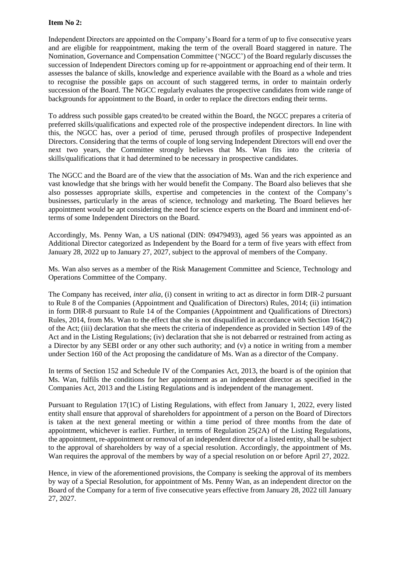# **Item No 2:**

Independent Directors are appointed on the Company's Board for a term of up to five consecutive years and are eligible for reappointment, making the term of the overall Board staggered in nature. The Nomination, Governance and Compensation Committee ('NGCC') of the Board regularly discusses the succession of Independent Directors coming up for re-appointment or approaching end of their term. It assesses the balance of skills, knowledge and experience available with the Board as a whole and tries to recognise the possible gaps on account of such staggered terms, in order to maintain orderly succession of the Board. The NGCC regularly evaluates the prospective candidates from wide range of backgrounds for appointment to the Board, in order to replace the directors ending their terms.

To address such possible gaps created/to be created within the Board, the NGCC prepares a criteria of preferred skills/qualifications and expected role of the prospective independent directors. In line with this, the NGCC has, over a period of time, perused through profiles of prospective Independent Directors. Considering that the terms of couple of long serving Independent Directors will end over the next two years, the Committee strongly believes that Ms. Wan fits into the criteria of skills/qualifications that it had determined to be necessary in prospective candidates.

The NGCC and the Board are of the view that the association of Ms. Wan and the rich experience and vast knowledge that she brings with her would benefit the Company. The Board also believes that she also possesses appropriate skills, expertise and competencies in the context of the Company's businesses, particularly in the areas of science, technology and marketing. The Board believes her appointment would be apt considering the need for science experts on the Board and imminent end-ofterms of some Independent Directors on the Board.

Accordingly, Ms. Penny Wan, a US national (DIN: 09479493), aged 56 years was appointed as an Additional Director categorized as Independent by the Board for a term of five years with effect from January 28, 2022 up to January 27, 2027, subject to the approval of members of the Company.

Ms. Wan also serves as a member of the Risk Management Committee and Science, Technology and Operations Committee of the Company.

The Company has received, *inter alia*, (i) consent in writing to act as director in form DIR-2 pursuant to Rule 8 of the Companies (Appointment and Qualification of Directors) Rules, 2014; (ii) intimation in form DIR-8 pursuant to Rule 14 of the Companies (Appointment and Qualifications of Directors) Rules, 2014, from Ms. Wan to the effect that she is not disqualified in accordance with Section 164(2) of the Act; (iii) declaration that she meets the criteria of independence as provided in Section 149 of the Act and in the Listing Regulations; (iv) declaration that she is not debarred or restrained from acting as a Director by any SEBI order or any other such authority; and (v) a notice in writing from a member under Section 160 of the Act proposing the candidature of Ms. Wan as a director of the Company.

In terms of Section 152 and Schedule IV of the Companies Act, 2013, the board is of the opinion that Ms. Wan, fulfils the conditions for her appointment as an independent director as specified in the Companies Act, 2013 and the Listing Regulations and is independent of the management.

Pursuant to Regulation 17(1C) of Listing Regulations, with effect from January 1, 2022, every listed entity shall ensure that approval of shareholders for appointment of a person on the Board of Directors is taken at the next general meeting or within a time period of three months from the date of appointment, whichever is earlier. Further, in terms of Regulation 25(2A) of the Listing Regulations, the appointment, re-appointment or removal of an independent director of a listed entity, shall be subject to the approval of shareholders by way of a special resolution. Accordingly, the appointment of Ms. Wan requires the approval of the members by way of a special resolution on or before April 27, 2022.

Hence, in view of the aforementioned provisions, the Company is seeking the approval of its members by way of a Special Resolution, for appointment of Ms. Penny Wan, as an independent director on the Board of the Company for a term of five consecutive years effective from January 28, 2022 till January 27, 2027.